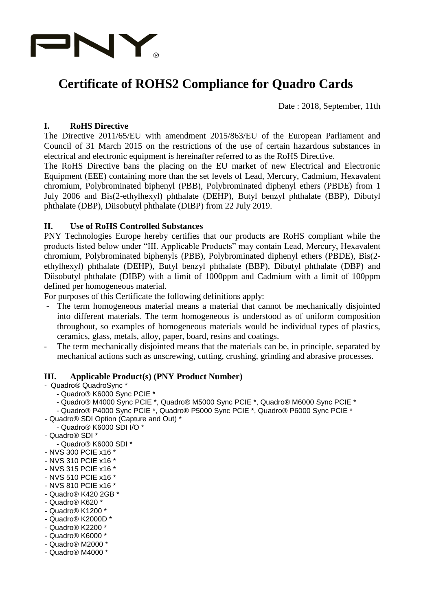

# **Certificate of ROHS2 Compliance for Quadro Cards**

Date : 2018, September, 11th

## **I. RoHS Directive**

The Directive 2011/65/EU with amendment 2015/863/EU of the European Parliament and Council of 31 March 2015 on the restrictions of the use of certain hazardous substances in electrical and electronic equipment is hereinafter referred to as the RoHS Directive.

The RoHS Directive bans the placing on the EU market of new Electrical and Electronic Equipment (EEE) containing more than the set levels of Lead, Mercury, Cadmium, Hexavalent chromium, Polybrominated biphenyl (PBB), Polybrominated diphenyl ethers (PBDE) from 1 July 2006 and Bis(2-ethylhexyl) phthalate (DEHP), Butyl benzyl phthalate (BBP), Dibutyl phthalate (DBP), Diisobutyl phthalate (DIBP) from 22 July 2019.

#### **II. Use of RoHS Controlled Substances**

PNY Technologies Europe hereby certifies that our products are RoHS compliant while the products listed below under "III. Applicable Products" may contain Lead, Mercury, Hexavalent chromium, Polybrominated biphenyls (PBB), Polybrominated diphenyl ethers (PBDE), Bis(2 ethylhexyl) phthalate (DEHP), Butyl benzyl phthalate (BBP), Dibutyl phthalate (DBP) and Diisobutyl phthalate (DIBP) with a limit of 1000ppm and Cadmium with a limit of 100ppm defined per homogeneous material.

For purposes of this Certificate the following definitions apply:

- The term homogeneous material means a material that cannot be mechanically disjointed into different materials. The term homogeneous is understood as of uniform composition throughout, so examples of homogeneous materials would be individual types of plastics, ceramics, glass, metals, alloy, paper, board, resins and coatings.
- The term mechanically disjointed means that the materials can be, in principle, separated by mechanical actions such as unscrewing, cutting, crushing, grinding and abrasive processes.

#### **III. Applicable Product(s) (PNY Product Number)**

- Quadro® QuadroSync \*

- Quadro® K6000 Sync PCIE \*
- Quadro® M4000 Sync PCIE \*, Quadro® M5000 Sync PCIE \*, Quadro® M6000 Sync PCIE \*
- Quadro® P4000 Sync PCIE \*, Quadro® P5000 Sync PCIE \*, Quadro® P6000 Sync PCIE \*
- Quadro® SDI Option (Capture and Out) \* - Quadro® K6000 SDI I/O \*
- Quadro® SDI \*
	- Quadro® K6000 SDI \*
- NVS 300 PCIE x16 \*
- NVS 310 PCIE x16 \*
- NVS 315 PCIE x16 \*
- NVS 510 PCIE x16 \*
- NVS 810 PCIE x16 \*
- Quadro® K420 2GB \*
- Quadro® K620 \*
- Quadro® K1200 \*
- Quadro® K2000D \*
- Quadro® K2200 \* - Quadro® K6000 \*
- Quadro® M2000 \*
- Quadro® M4000 \*